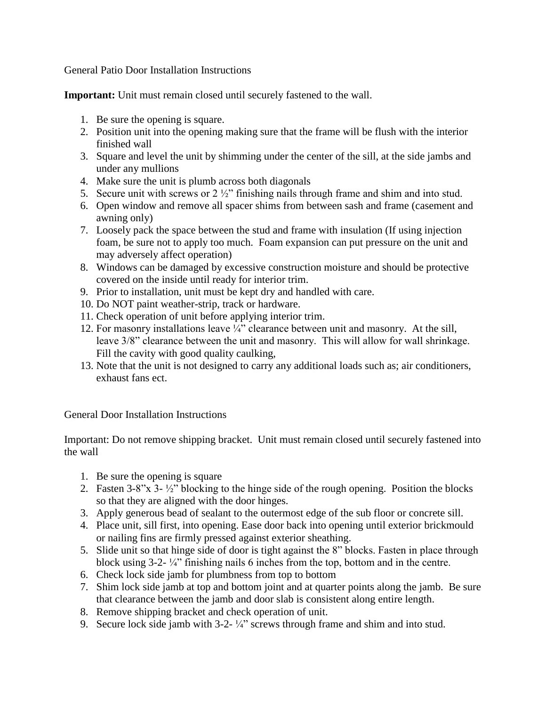General Patio Door Installation Instructions

**Important:** Unit must remain closed until securely fastened to the wall.

- 1. Be sure the opening is square.
- 2. Position unit into the opening making sure that the frame will be flush with the interior finished wall
- 3. Square and level the unit by shimming under the center of the sill, at the side jambs and under any mullions
- 4. Make sure the unit is plumb across both diagonals
- 5. Secure unit with screws or  $2\frac{1}{2}$  finishing nails through frame and shim and into stud.
- 6. Open window and remove all spacer shims from between sash and frame (casement and awning only)
- 7. Loosely pack the space between the stud and frame with insulation (If using injection foam, be sure not to apply too much. Foam expansion can put pressure on the unit and may adversely affect operation)
- 8. Windows can be damaged by excessive construction moisture and should be protective covered on the inside until ready for interior trim.
- 9. Prior to installation, unit must be kept dry and handled with care.
- 10. Do NOT paint weather-strip, track or hardware.
- 11. Check operation of unit before applying interior trim.
- 12. For masonry installations leave ¼" clearance between unit and masonry. At the sill, leave 3/8" clearance between the unit and masonry. This will allow for wall shrinkage. Fill the cavity with good quality caulking,
- 13. Note that the unit is not designed to carry any additional loads such as; air conditioners, exhaust fans ect.

General Door Installation Instructions

Important: Do not remove shipping bracket. Unit must remain closed until securely fastened into the wall

- 1. Be sure the opening is square
- 2. Fasten  $3-8$ "x  $3-1/2$ " blocking to the hinge side of the rough opening. Position the blocks so that they are aligned with the door hinges.
- 3. Apply generous bead of sealant to the outermost edge of the sub floor or concrete sill.
- 4. Place unit, sill first, into opening. Ease door back into opening until exterior brickmould or nailing fins are firmly pressed against exterior sheathing.
- 5. Slide unit so that hinge side of door is tight against the 8" blocks. Fasten in place through block using 3-2- ¼" finishing nails 6 inches from the top, bottom and in the centre.
- 6. Check lock side jamb for plumbness from top to bottom
- 7. Shim lock side jamb at top and bottom joint and at quarter points along the jamb. Be sure that clearance between the jamb and door slab is consistent along entire length.
- 8. Remove shipping bracket and check operation of unit.
- 9. Secure lock side jamb with  $3-2- \frac{1}{4}$ " screws through frame and shim and into stud.